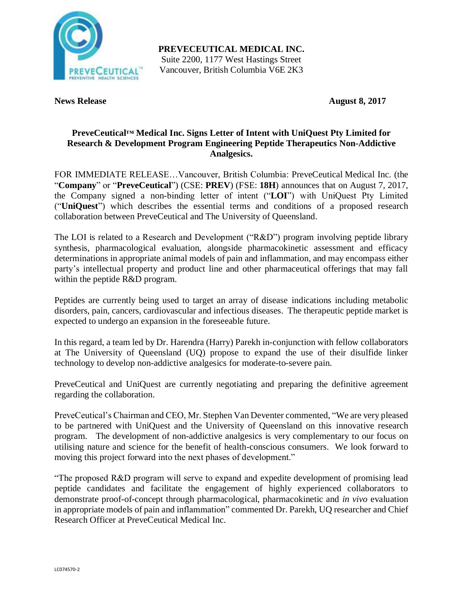

**PREVECEUTICAL MEDICAL INC.** Suite 2200, 1177 West Hastings Street Vancouver, British Columbia V6E 2K3

**News Release August 8, 2017** 

# **PreveCeutical™ Medical Inc. Signs Letter of Intent with UniQuest Pty Limited for Research & Development Program Engineering Peptide Therapeutics Non-Addictive Analgesics.**

FOR IMMEDIATE RELEASE…Vancouver, British Columbia: PreveCeutical Medical Inc. (the "**Company**" or "**PreveCeutical**") (CSE: **PREV**) (FSE: **18H**) announces that on August 7, 2017, the Company signed a non-binding letter of intent ("**LOI**") with UniQuest Pty Limited ("**UniQuest**") which describes the essential terms and conditions of a proposed research collaboration between PreveCeutical and The University of Queensland.

The LOI is related to a Research and Development ("R&D") program involving peptide library synthesis, pharmacological evaluation, alongside pharmacokinetic assessment and efficacy determinations in appropriate animal models of pain and inflammation, and may encompass either party's intellectual property and product line and other pharmaceutical offerings that may fall within the peptide R&D program.

Peptides are currently being used to target an array of disease indications including metabolic disorders, pain, cancers, cardiovascular and infectious diseases. The therapeutic peptide market is expected to undergo an expansion in the foreseeable future.

In this regard, a team led by Dr. Harendra (Harry) Parekh in-conjunction with fellow collaborators at The University of Queensland (UQ) propose to expand the use of their disulfide linker technology to develop non-addictive analgesics for moderate-to-severe pain.

PreveCeutical and UniQuest are currently negotiating and preparing the definitive agreement regarding the collaboration.

PreveCeutical's Chairman and CEO, Mr. Stephen Van Deventer commented, "We are very pleased to be partnered with UniQuest and the University of Queensland on this innovative research program. The development of non-addictive analgesics is very complementary to our focus on utilising nature and science for the benefit of health-conscious consumers. We look forward to moving this project forward into the next phases of development."

"The proposed R&D program will serve to expand and expedite development of promising lead peptide candidates and facilitate the engagement of highly experienced collaborators to demonstrate proof-of-concept through pharmacological, pharmacokinetic and *in vivo* evaluation in appropriate models of pain and inflammation" commented Dr. Parekh, UQ researcher and Chief Research Officer at PreveCeutical Medical Inc.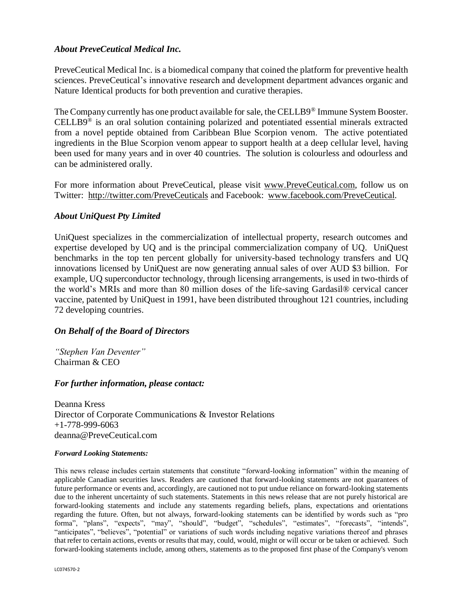## *About PreveCeutical Medical Inc.*

PreveCeutical Medical Inc. is a biomedical company that coined the platform for preventive health sciences. PreveCeutical's innovative research and development department advances organic and Nature Identical products for both prevention and curative therapies.

The Company currently has one product available for sale, the CELLB9® Immune System Booster. CELLB9 ® is an oral solution containing polarized and potentiated essential minerals extracted from a novel peptide obtained from Caribbean Blue Scorpion venom. The active potentiated ingredients in the Blue Scorpion venom appear to support health at a deep cellular level, having been used for many years and in over 40 countries. The solution is colourless and odourless and can be administered orally.

For more information about PreveCeutical, please visit www.PreveCeutical.com, follow us on Twitter: http://twitter.com/PreveCeuticals and Facebook: www.facebook.com/PreveCeutical.

## *About UniQuest Pty Limited*

UniQuest specializes in the commercialization of intellectual property, research outcomes and expertise developed by UQ and is the principal commercialization company of UQ. UniQuest benchmarks in the top ten percent globally for university-based technology transfers and UQ innovations licensed by UniQuest are now generating annual sales of over AUD \$3 billion. For example, UQ superconductor technology, through licensing arrangements, is used in two-thirds of the world's MRIs and more than 80 million doses of the life-saving Gardasil® cervical cancer vaccine, patented by UniQuest in 1991, have been distributed throughout 121 countries, including 72 developing countries.

### *On Behalf of the Board of Directors*

*"Stephen Van Deventer"* Chairman & CEO

### *For further information, please contact:*

Deanna Kress Director of Corporate Communications & Investor Relations +1-778-999-6063 deanna@PreveCeutical.com

#### *Forward Looking Statements:*

This news release includes certain statements that constitute "forward-looking information" within the meaning of applicable Canadian securities laws. Readers are cautioned that forward-looking statements are not guarantees of future performance or events and, accordingly, are cautioned not to put undue reliance on forward-looking statements due to the inherent uncertainty of such statements. Statements in this news release that are not purely historical are forward-looking statements and include any statements regarding beliefs, plans, expectations and orientations regarding the future. Often, but not always, forward-looking statements can be identified by words such as "pro forma", "plans", "expects", "may", "should", "budget", "schedules", "estimates", "forecasts", "intends", "anticipates", "believes", "potential" or variations of such words including negative variations thereof and phrases that refer to certain actions, events or results that may, could, would, might or will occur or be taken or achieved. Such forward-looking statements include, among others, statements as to the proposed first phase of the Company's venom